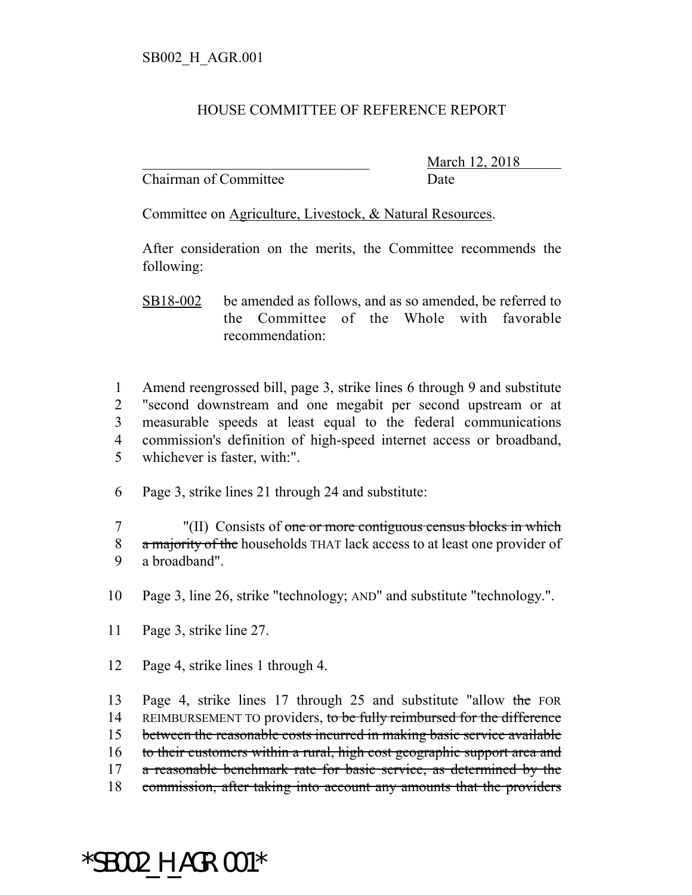#### HOUSE COMMITTEE OF REFERENCE REPORT

Chairman of Committee Date

March 12, 2018

Committee on Agriculture, Livestock, & Natural Resources.

After consideration on the merits, the Committee recommends the following:

SB18-002 be amended as follows, and as so amended, be referred to the Committee of the Whole with favorable recommendation:

 Amend reengrossed bill, page 3, strike lines 6 through 9 and substitute "second downstream and one megabit per second upstream or at measurable speeds at least equal to the federal communications commission's definition of high-speed internet access or broadband, whichever is faster, with:".

6 Page 3, strike lines 21 through 24 and substitute:

7 "(II) Consists of one or more contiguous census blocks in which 8 a majority of the households THAT lack access to at least one provider of 9 a broadband".

- 10 Page 3, line 26, strike "technology; AND" and substitute "technology.".
- 11 Page 3, strike line 27.
- 12 Page 4, strike lines 1 through 4.

13 Page 4, strike lines 17 through 25 and substitute "allow the FOR 14 REIMBURSEMENT TO providers, to be fully reimbursed for the difference 15 between the reasonable costs incurred in making basic service available 16 to their customers within a rural, high cost geographic support area and 17 a reasonable benchmark rate for basic service, as determined by the 18 commission, after taking into account any amounts that the providers

# \*SB002\_H\_AGR.001\*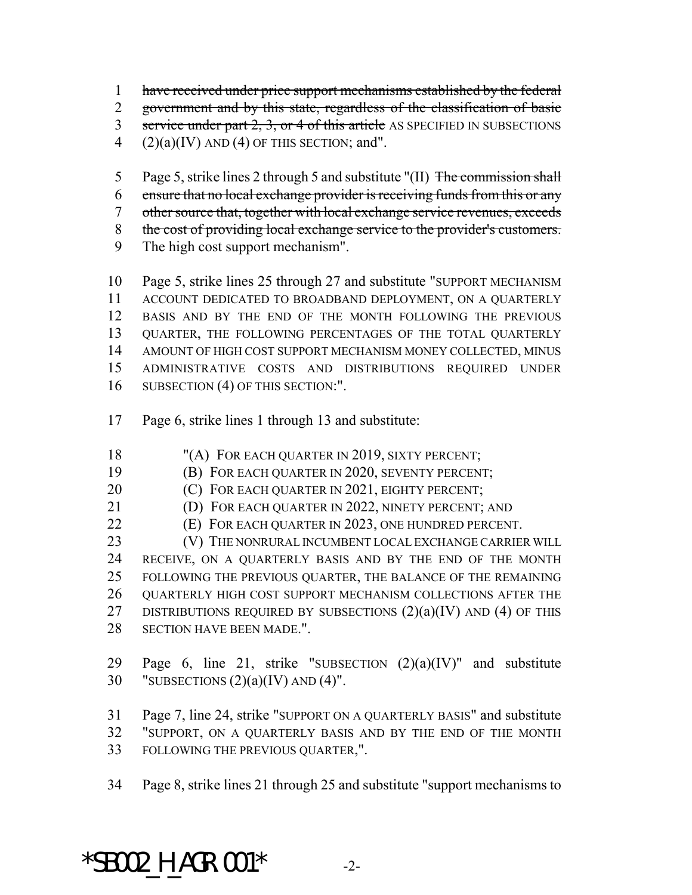have received under price support mechanisms established by the federal

government and by this state, regardless of the classification of basic

3 service under part 2, 3, or 4 of this article AS SPECIFIED IN SUBSECTIONS

4 (2)(a)(IV) AND (4) OF THIS SECTION; and".

5 Page 5, strike lines 2 through 5 and substitute "(II) The commission shall

ensure that no local exchange provider is receiving funds from this or any

- other source that, together with local exchange service revenues, exceeds
- 8 the cost of providing local exchange service to the provider's customers.
- The high cost support mechanism".

 Page 5, strike lines 25 through 27 and substitute "SUPPORT MECHANISM ACCOUNT DEDICATED TO BROADBAND DEPLOYMENT, ON A QUARTERLY BASIS AND BY THE END OF THE MONTH FOLLOWING THE PREVIOUS QUARTER, THE FOLLOWING PERCENTAGES OF THE TOTAL QUARTERLY AMOUNT OF HIGH COST SUPPORT MECHANISM MONEY COLLECTED, MINUS ADMINISTRATIVE COSTS AND DISTRIBUTIONS REQUIRED UNDER 16 SUBSECTION (4) OF THIS SECTION:".

- Page 6, strike lines 1 through 13 and substitute:
- 18 "(A) FOR EACH QUARTER IN 2019, SIXTY PERCENT;
- (B) FOR EACH QUARTER IN 2020, SEVENTY PERCENT;
- **(C)** FOR EACH QUARTER IN 2021, EIGHTY PERCENT;
- (D) FOR EACH QUARTER IN 2022, NINETY PERCENT; AND
- (E) FOR EACH QUARTER IN 2023, ONE HUNDRED PERCENT.

23 (V) THE NONRURAL INCUMBENT LOCAL EXCHANGE CARRIER WILL RECEIVE, ON A QUARTERLY BASIS AND BY THE END OF THE MONTH FOLLOWING THE PREVIOUS QUARTER, THE BALANCE OF THE REMAINING QUARTERLY HIGH COST SUPPORT MECHANISM COLLECTIONS AFTER THE 27 DISTRIBUTIONS REQUIRED BY SUBSECTIONS  $(2)(a)(IV)$  AND  $(4)$  OF THIS SECTION HAVE BEEN MADE.".

29 Page 6, line 21, strike "SUBSECTION  $(2)(a)(IV)$ " and substitute 30 "SUBSECTIONS  $(2)(a)(IV)$  AND  $(4)$ ".

 Page 7, line 24, strike "SUPPORT ON A QUARTERLY BASIS" and substitute "SUPPORT, ON A QUARTERLY BASIS AND BY THE END OF THE MONTH FOLLOWING THE PREVIOUS QUARTER,".

Page 8, strike lines 21 through 25 and substitute "support mechanisms to

 $*$ SB002 H AGR.001 $*$  -2-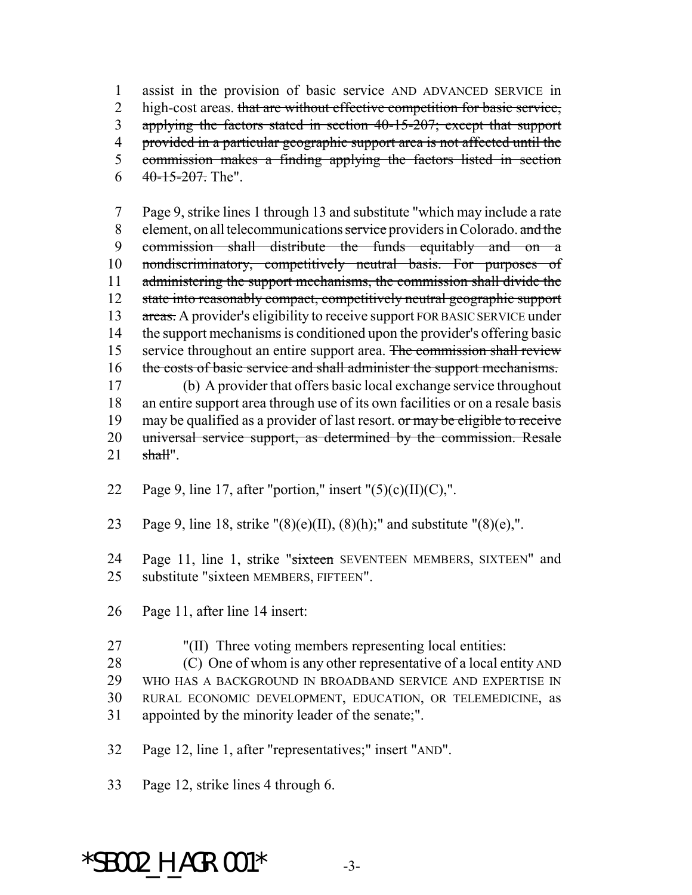1 assist in the provision of basic service AND ADVANCED SERVICE in 2 high-cost areas. that are without effective competition for basic service, 3 applying the factors stated in section 40-15-207; except that support 4 provided in a particular geographic support area is not affected until the 5 commission makes a finding applying the factors listed in section  $6 \frac{40-15-207}{20}$ . The".

7 Page 9, strike lines 1 through 13 and substitute "which may include a rate 8 element, on all telecommunications service providers in Colorado. and the 9 commission shall distribute the funds equitably and on a 10 nondiscriminatory, competitively neutral basis. For purposes of 11 administering the support mechanisms, the commission shall divide the 12 state into reasonably compact, competitively neutral geographic support 13 areas. A provider's eligibility to receive support FOR BASIC SERVICE under 14 the support mechanisms is conditioned upon the provider's offering basic 15 service throughout an entire support area. The commission shall review 16 the costs of basic service and shall administer the support mechanisms. 17 (b) A provider that offers basic local exchange service throughout 18 an entire support area through use of its own facilities or on a resale basis 19 may be qualified as a provider of last resort. or may be eligible to receive 20 universal service support, as determined by the commission. Resale  $21$  shall".

- 22 Page 9, line 17, after "portion," insert " $(5)(c)(II)(C)$ ,".
- 23 Page 9, line 18, strike " $(8)(e)(II)$ ,  $(8)(h)$ ;" and substitute " $(8)(e)$ ,".

24 Page 11, line 1, strike "sixteen SEVENTEEN MEMBERS, SIXTEEN" and 25 substitute "sixteen MEMBERS, FIFTEEN".

- 26 Page 11, after line 14 insert:
- 27 "(II) Three voting members representing local entities:

28 (C) One of whom is any other representative of a local entity AND

- 29 WHO HAS A BACKGROUND IN BROADBAND SERVICE AND EXPERTISE IN
- 30 RURAL ECONOMIC DEVELOPMENT, EDUCATION, OR TELEMEDICINE, as 31 appointed by the minority leader of the senate;".
- 32 Page 12, line 1, after "representatives;" insert "AND".
- 33 Page 12, strike lines 4 through 6.

### $*$ SB002 H AGR.001 $*$  -3-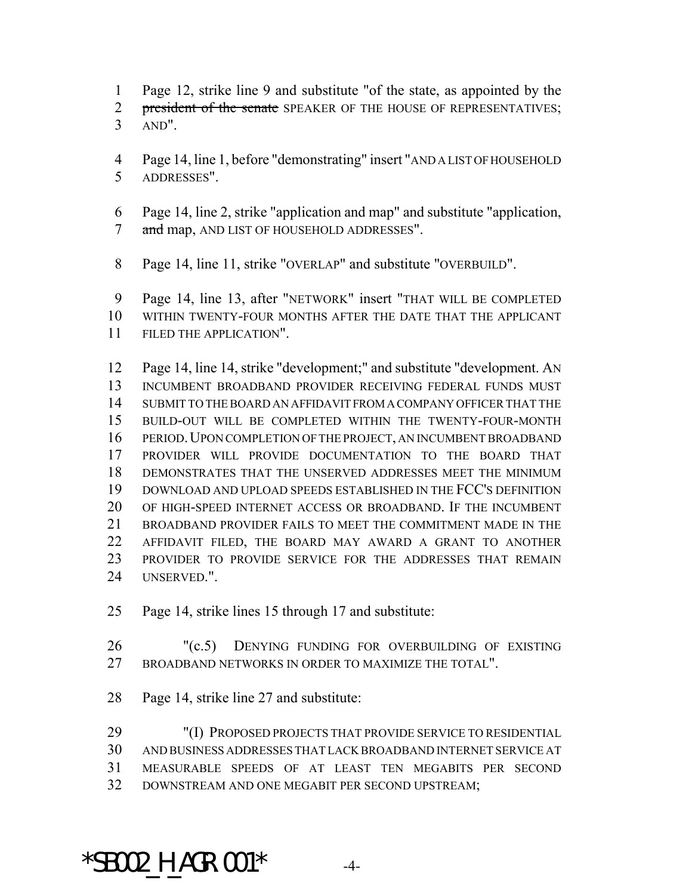- Page 12, strike line 9 and substitute "of the state, as appointed by the
- 2 president of the senate SPEAKER OF THE HOUSE OF REPRESENTATIVES;
- AND".
- Page 14, line 1, before "demonstrating" insert "AND A LIST OF HOUSEHOLD ADDRESSES".
- Page 14, line 2, strike "application and map" and substitute "application, 7 and map, AND LIST OF HOUSEHOLD ADDRESSES".
- Page 14, line 11, strike "OVERLAP" and substitute "OVERBUILD".

 Page 14, line 13, after "NETWORK" insert "THAT WILL BE COMPLETED WITHIN TWENTY-FOUR MONTHS AFTER THE DATE THAT THE APPLICANT FILED THE APPLICATION".

 Page 14, line 14, strike "development;" and substitute "development. AN INCUMBENT BROADBAND PROVIDER RECEIVING FEDERAL FUNDS MUST SUBMIT TO THE BOARD AN AFFIDAVIT FROM A COMPANY OFFICER THAT THE BUILD-OUT WILL BE COMPLETED WITHIN THE TWENTY-FOUR-MONTH PERIOD.UPON COMPLETION OF THE PROJECT, AN INCUMBENT BROADBAND PROVIDER WILL PROVIDE DOCUMENTATION TO THE BOARD THAT DEMONSTRATES THAT THE UNSERVED ADDRESSES MEET THE MINIMUM DOWNLOAD AND UPLOAD SPEEDS ESTABLISHED IN THE FCC'S DEFINITION OF HIGH-SPEED INTERNET ACCESS OR BROADBAND. IF THE INCUMBENT BROADBAND PROVIDER FAILS TO MEET THE COMMITMENT MADE IN THE AFFIDAVIT FILED, THE BOARD MAY AWARD A GRANT TO ANOTHER PROVIDER TO PROVIDE SERVICE FOR THE ADDRESSES THAT REMAIN UNSERVED.".

- Page 14, strike lines 15 through 17 and substitute:
- 26 "(c.5) DENYING FUNDING FOR OVERBUILDING OF EXISTING BROADBAND NETWORKS IN ORDER TO MAXIMIZE THE TOTAL".
- Page 14, strike line 27 and substitute:

 "(I) PROPOSED PROJECTS THAT PROVIDE SERVICE TO RESIDENTIAL AND BUSINESS ADDRESSES THAT LACK BROADBAND INTERNET SERVICE AT MEASURABLE SPEEDS OF AT LEAST TEN MEGABITS PER SECOND DOWNSTREAM AND ONE MEGABIT PER SECOND UPSTREAM;

 $*$ SB002 H AGR.001 $*$  -4-